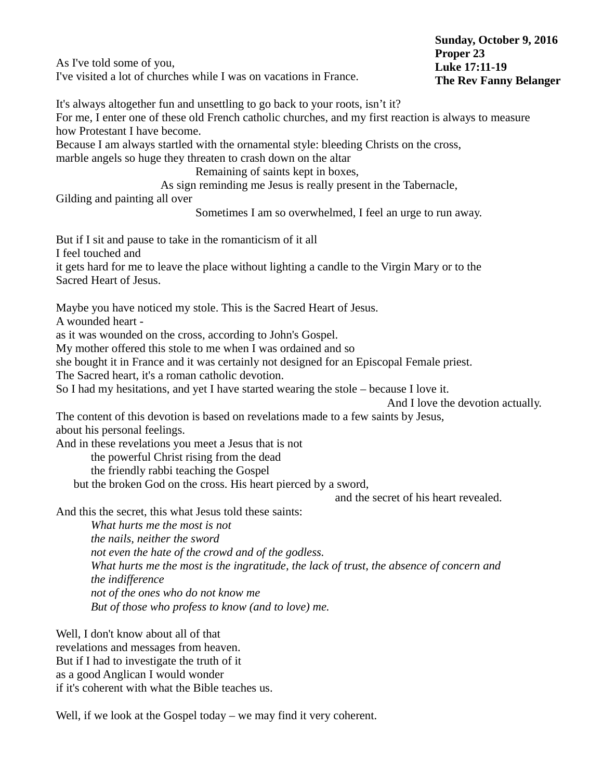As I've told some of you, I've visited a lot of churches while I was on vacations in France. It's always altogether fun and unsettling to go back to your roots, isn't it? For me, I enter one of these old French catholic churches, and my first reaction is always to measure how Protestant I have become. Because I am always startled with the ornamental style: bleeding Christs on the cross, marble angels so huge they threaten to crash down on the altar Remaining of saints kept in boxes, As sign reminding me Jesus is really present in the Tabernacle, Gilding and painting all over Sometimes I am so overwhelmed, I feel an urge to run away. But if I sit and pause to take in the romanticism of it all I feel touched and it gets hard for me to leave the place without lighting a candle to the Virgin Mary or to the Sacred Heart of Jesus. Maybe you have noticed my stole. This is the Sacred Heart of Jesus. A wounded heart as it was wounded on the cross, according to John's Gospel. My mother offered this stole to me when I was ordained and so she bought it in France and it was certainly not designed for an Episcopal Female priest. The Sacred heart, it's a roman catholic devotion. So I had my hesitations, and yet I have started wearing the stole – because I love it. And I love the devotion actually. The content of this devotion is based on revelations made to a few saints by Jesus, about his personal feelings. And in these revelations you meet a Jesus that is not the powerful Christ rising from the dead the friendly rabbi teaching the Gospel but the broken God on the cross. His heart pierced by a sword, and the secret of his heart revealed. And this the secret, this what Jesus told these saints: *What hurts me the most is not the nails, neither the sword not even the hate of the crowd and of the godless. What hurts me the most is the ingratitude, the lack of trust, the absence of concern and the indifference not of the ones who do not know me But of those who profess to know (and to love) me.* Well, I don't know about all of that revelations and messages from heaven. But if I had to investigate the truth of it **Sunday, October 9, 2016 Proper 23 Luke 17:11-19 The Rev Fanny Belanger**

as a good Anglican I would wonder

if it's coherent with what the Bible teaches us.

Well, if we look at the Gospel today – we may find it very coherent.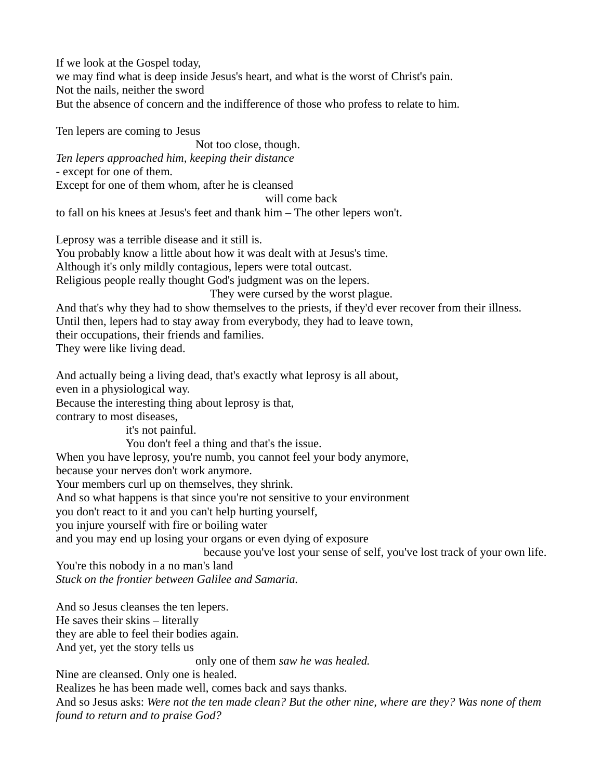If we look at the Gospel today, we may find what is deep inside Jesus's heart, and what is the worst of Christ's pain. Not the nails, neither the sword But the absence of concern and the indifference of those who profess to relate to him.

Ten lepers are coming to Jesus

Not too close, though. *Ten lepers approached him, keeping their distance* - except for one of them.

Except for one of them whom, after he is cleansed

will come back

to fall on his knees at Jesus's feet and thank him – The other lepers won't.

Leprosy was a terrible disease and it still is.

You probably know a little about how it was dealt with at Jesus's time.

Although it's only mildly contagious, lepers were total outcast.

Religious people really thought God's judgment was on the lepers.

They were cursed by the worst plague.

And that's why they had to show themselves to the priests, if they'd ever recover from their illness. Until then, lepers had to stay away from everybody, they had to leave town, their occupations, their friends and families. They were like living dead.

And actually being a living dead, that's exactly what leprosy is all about, even in a physiological way. Because the interesting thing about leprosy is that, contrary to most diseases, it's not painful.

You don't feel a thing and that's the issue.

When you have leprosy, you're numb, you cannot feel your body anymore,

because your nerves don't work anymore.

Your members curl up on themselves, they shrink.

And so what happens is that since you're not sensitive to your environment

you don't react to it and you can't help hurting yourself,

you injure yourself with fire or boiling water

and you may end up losing your organs or even dying of exposure

because you've lost your sense of self, you've lost track of your own life. You're this nobody in a no man's land

*Stuck on the frontier between Galilee and Samaria.*

And so Jesus cleanses the ten lepers.

He saves their skins – literally

they are able to feel their bodies again.

And yet, yet the story tells us

only one of them *saw he was healed.*

Nine are cleansed. Only one is healed.

Realizes he has been made well, comes back and says thanks.

And so Jesus asks: *Were not the ten made clean? But the other nine, where are they? Was none of them found to return and to praise God?*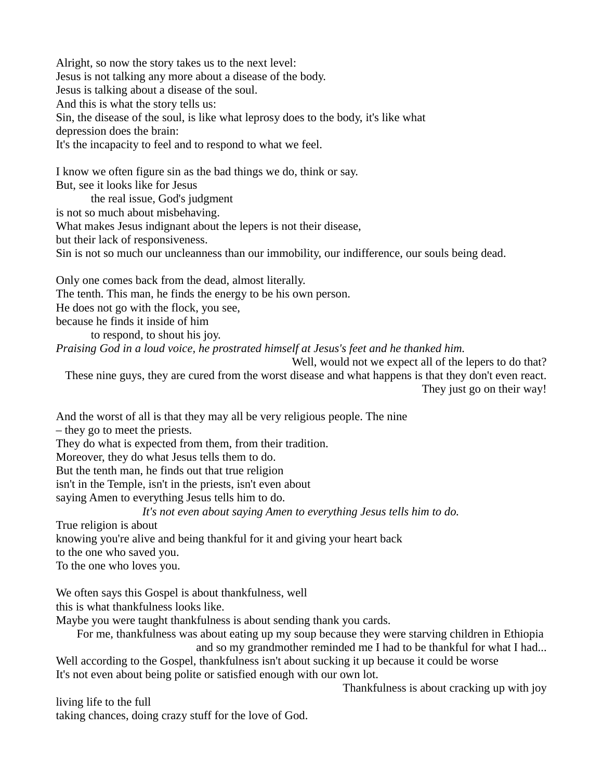Alright, so now the story takes us to the next level: Jesus is not talking any more about a disease of the body. Jesus is talking about a disease of the soul. And this is what the story tells us: Sin, the disease of the soul, is like what leprosy does to the body, it's like what depression does the brain: It's the incapacity to feel and to respond to what we feel.

I know we often figure sin as the bad things we do, think or say. But, see it looks like for Jesus the real issue, God's judgment is not so much about misbehaving. What makes Jesus indignant about the lepers is not their disease, but their lack of responsiveness. Sin is not so much our uncleanness than our immobility, our indifference, our souls being dead.

Only one comes back from the dead, almost literally. The tenth. This man, he finds the energy to be his own person. He does not go with the flock, you see, because he finds it inside of him to respond, to shout his joy.

*Praising God in a loud voice, he prostrated himself at Jesus's feet and he thanked him.*

Well, would not we expect all of the lepers to do that? These nine guys, they are cured from the worst disease and what happens is that they don't even react. They just go on their way!

And the worst of all is that they may all be very religious people. The nine

– they go to meet the priests.

They do what is expected from them, from their tradition.

Moreover, they do what Jesus tells them to do.

But the tenth man, he finds out that true religion

isn't in the Temple, isn't in the priests, isn't even about

saying Amen to everything Jesus tells him to do.

*It's not even about saying Amen to everything Jesus tells him to do.*

True religion is about

knowing you're alive and being thankful for it and giving your heart back

to the one who saved you.

To the one who loves you.

We often says this Gospel is about thankfulness, well

this is what thankfulness looks like.

Maybe you were taught thankfulness is about sending thank you cards.

For me, thankfulness was about eating up my soup because they were starving children in Ethiopia and so my grandmother reminded me I had to be thankful for what I had...

Well according to the Gospel, thankfulness isn't about sucking it up because it could be worse It's not even about being polite or satisfied enough with our own lot.

Thankfulness is about cracking up with joy

living life to the full

taking chances, doing crazy stuff for the love of God.